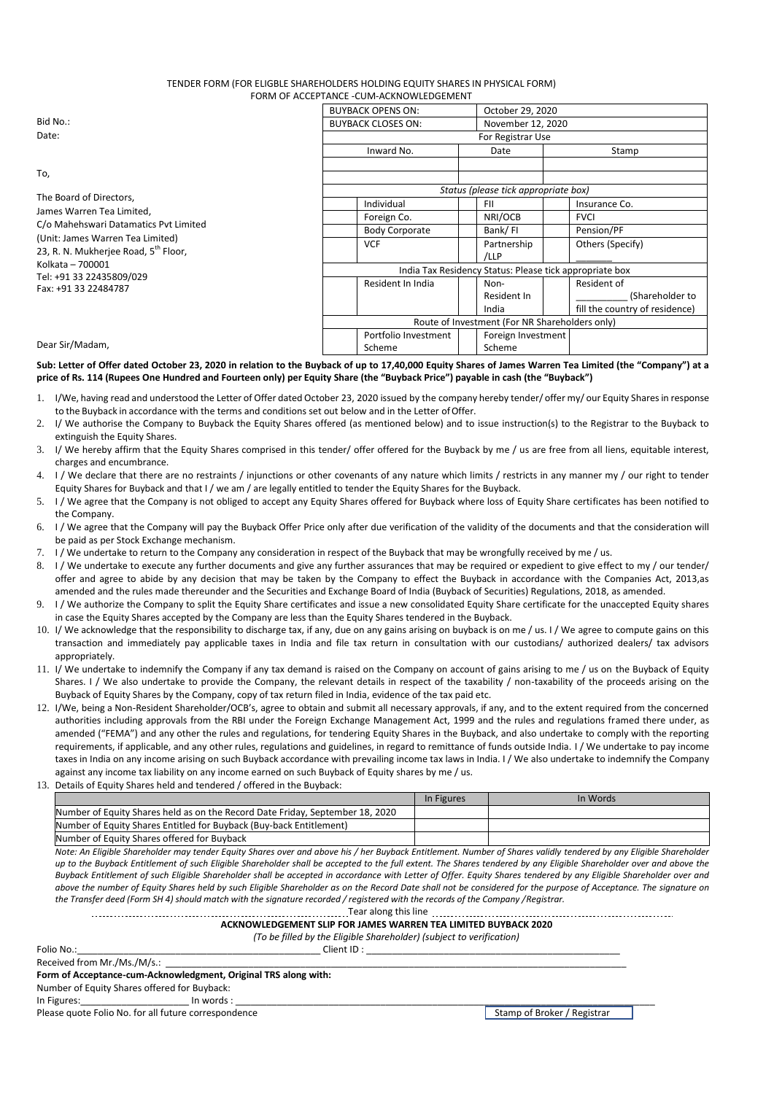# TENDER FORM (FOR ELIGBLE SHAREHOLDERS HOLDING EQUITY SHARES IN PHYSICAL FORM) FORM OF ACCEPTANCE -CUM-ACKNOWLEDGEMENT

|                                                                                                                                                | <b>BUYBACK OPENS ON:</b>                                | October 29, 2020   |                                |  |  |  |
|------------------------------------------------------------------------------------------------------------------------------------------------|---------------------------------------------------------|--------------------|--------------------------------|--|--|--|
| Bid No.:<br>Date:                                                                                                                              | <b>BUYBACK CLOSES ON:</b>                               | November 12, 2020  |                                |  |  |  |
|                                                                                                                                                | For Registrar Use                                       |                    |                                |  |  |  |
|                                                                                                                                                | Inward No.                                              | Date               | Stamp                          |  |  |  |
| To,                                                                                                                                            |                                                         |                    |                                |  |  |  |
|                                                                                                                                                | Status (please tick appropriate box)                    |                    |                                |  |  |  |
| The Board of Directors,                                                                                                                        | Individual                                              | <b>FII</b>         | Insurance Co.                  |  |  |  |
| James Warren Tea Limited,<br>C/o Mahehswari Datamatics Pvt Limited<br>(Unit: James Warren Tea Limited)<br>23, R. N. Mukherjee Road, 5th Floor, | Foreign Co.                                             | NRI/OCB            | <b>FVCI</b>                    |  |  |  |
|                                                                                                                                                | <b>Body Corporate</b>                                   | Bank/FI            | Pension/PF                     |  |  |  |
|                                                                                                                                                | <b>VCF</b>                                              | Partnership        | Others (Specify)               |  |  |  |
|                                                                                                                                                |                                                         | /LLP               |                                |  |  |  |
| Kolkata - 700001                                                                                                                               | India Tax Residency Status: Please tick appropriate box |                    |                                |  |  |  |
| Tel: +91 33 22435809/029<br>Fax: +91 33 22484787<br>Dear Sir/Madam,                                                                            | Resident In India                                       | Non-               | Resident of                    |  |  |  |
|                                                                                                                                                |                                                         | Resident In        | (Shareholder to                |  |  |  |
|                                                                                                                                                |                                                         | India              | fill the country of residence) |  |  |  |
|                                                                                                                                                | Route of Investment (For NR Shareholders only)          |                    |                                |  |  |  |
|                                                                                                                                                | Portfolio Investment                                    | Foreign Investment |                                |  |  |  |
|                                                                                                                                                | Scheme                                                  | Scheme             |                                |  |  |  |

**Sub: Letter of Offer dated October 23, 2020 in relation to the Buyback of up to 17,40,000 Equity Shares of James Warren Tea Limited (the "Company") at a price of Rs. 114 (Rupees One Hundred and Fourteen only) per Equity Share (the "Buyback Price") payable in cash (the "Buyback")**

- 1. I/We, having read and understood the Letter of Offer dated October 23, 2020 issued by the company hereby tender/ offer my/ our Equity Sharesin response to the Buyback in accordance with the terms and conditions set out below and in the Letter ofOffer.
- 2. I/ We authorise the Company to Buyback the Equity Shares offered (as mentioned below) and to issue instruction(s) to the Registrar to the Buyback to extinguish the Equity Shares.
- 3. I/ We hereby affirm that the Equity Shares comprised in this tender/ offer offered for the Buyback by me / us are free from all liens, equitable interest, charges and encumbrance.
- 4. I / We declare that there are no restraints / injunctions or other covenants of any nature which limits / restricts in any manner my / our right to tender Equity Shares for Buyback and that I / we am / are legally entitled to tender the Equity Shares for the Buyback.
- 5. I / We agree that the Company is not obliged to accept any Equity Shares offered for Buyback where loss of Equity Share certificates has been notified to the Company.
- 6. I / We agree that the Company will pay the Buyback Offer Price only after due verification of the validity of the documents and that the consideration will be paid as per Stock Exchange mechanism.
- 7. I / We undertake to return to the Company any consideration in respect of the Buyback that may be wrongfully received by me / us.
- 8. I / We undertake to execute any further documents and give any further assurances that may be required or expedient to give effect to my / our tender/ offer and agree to abide by any decision that may be taken by the Company to effect the Buyback in accordance with the Companies Act, 2013,as amended and the rules made thereunder and the Securities and Exchange Board of India (Buyback of Securities) Regulations, 2018, as amended.
- 9. I / We authorize the Company to split the Equity Share certificates and issue a new consolidated Equity Share certificate for the unaccepted Equity shares in case the Equity Shares accepted by the Company are less than the Equity Shares tendered in the Buyback.
- 10. I/ We acknowledge that the responsibility to discharge tax, if any, due on any gains arising on buyback is on me / us. I / We agree to compute gains on this transaction and immediately pay applicable taxes in India and file tax return in consultation with our custodians/ authorized dealers/ tax advisors appropriately.
- 11. I/ We undertake to indemnify the Company if any tax demand is raised on the Company on account of gains arising to me / us on the Buyback of Equity Shares. I / We also undertake to provide the Company, the relevant details in respect of the taxability / non-taxability of the proceeds arising on the Buyback of Equity Shares by the Company, copy of tax return filed in India, evidence of the tax paid etc.
- 12. I/We, being a Non-Resident Shareholder/OCB's, agree to obtain and submit all necessary approvals, if any, and to the extent required from the concerned authorities including approvals from the RBI under the Foreign Exchange Management Act, 1999 and the rules and regulations framed there under, as amended ("FEMA") and any other the rules and regulations, for tendering Equity Shares in the Buyback, and also undertake to comply with the reporting requirements, if applicable, and any other rules, regulations and guidelines, in regard to remittance of funds outside India. I / We undertake to pay income taxes in India on any income arising on such Buyback accordance with prevailing income tax laws in India. I / We also undertake to indemnify the Company against any income tax liability on any income earned on such Buyback of Equity shares by me / us.
- 13. Details of Equity Shares held and tendered / offered in the Buyback:

|                                                                               | In Figures | In Words |
|-------------------------------------------------------------------------------|------------|----------|
| Number of Equity Shares held as on the Record Date Friday, September 18, 2020 |            |          |
| Number of Equity Shares Entitled for Buyback (Buy-back Entitlement)           |            |          |
| Number of Equity Shares offered for Buyback                                   |            |          |

*Note: An Eligible Shareholder may tender Equity Shares over and above his / her Buyback Entitlement. Number of Shares validly tendered by any Eligible Shareholder up to the Buyback Entitlement of such Eligible Shareholder shall be accepted to the full extent. The Shares tendered by any Eligible Shareholder over and above the Buyback Entitlement of such Eligible Shareholder shall be accepted in accordance with Letter of Offer. Equity Shares tendered by any Eligible Shareholder over and above the number of Equity Shares held by such Eligible Shareholder as on the Record Date shall not be considered for the purpose of Acceptance. The signature on the Transfer deed (Form SH 4) should match with the signature recorded / registered with the records of the Company /Registrar.*

### Tear along this line **ACKNOWLEDGEMENT SLIP FOR JAMES WARREN TEA LIMITED BUYBACK 2020**

*(To be filled by the Eligible Shareholder) (subject to verification)*

Folio No.:\_\_\_\_\_\_\_\_\_\_\_\_\_\_\_\_\_\_\_\_\_\_\_\_\_\_\_\_\_\_\_\_\_\_\_\_\_\_\_\_\_\_\_\_\_\_\_ Client ID : \_\_\_\_\_\_\_\_\_\_\_\_\_\_\_\_\_\_\_\_\_\_\_\_\_\_\_\_\_\_\_\_\_\_\_\_\_\_\_\_\_\_\_\_\_\_\_\_\_ Received from Mr./Ms./M/s.:

**Form of Acceptance-cum-Acknowledgment, Original TRS along with:**

Number of Equity Shares offered for Buyback:

In Figures:\_\_\_\_\_\_\_\_\_\_\_\_\_\_\_\_\_\_\_\_\_ In words : \_\_\_\_\_\_\_\_\_\_\_\_\_\_\_\_\_\_\_\_\_\_\_\_\_\_\_\_\_\_\_\_\_\_\_\_\_\_\_\_\_\_\_\_\_\_\_\_\_\_\_\_\_\_\_\_\_\_\_\_\_\_\_\_\_\_\_\_\_\_\_\_\_\_\_\_\_\_\_\_\_

Please quote Folio No. for all future correspondence Stamp of Broker / Registrar